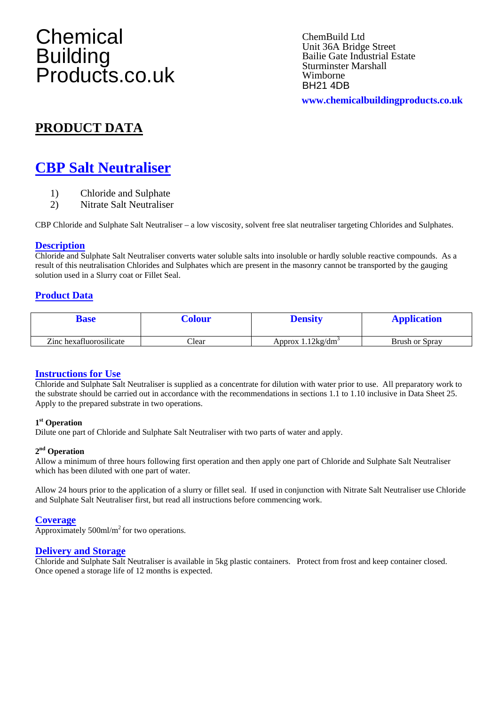# **Chemical** Building Products.co.uk

ChemBuild Ltd Unit 36A Bridge Street Bailie Gate Industrial Estate Sturminster Marshall Wimborne **BH21 4DB** 

**www.chemicalbuildingproducts.co.uk**

# **PRODUCT DATA**

# **CBP Salt Neutraliser**

- 1) Chloride and Sulphate
- 2) Nitrate Salt Neutraliser

CBP Chloride and Sulphate Salt Neutraliser – a low viscosity, solvent free slat neutraliser targeting Chlorides and Sulphates.

### **Description**

Chloride and Sulphate Salt Neutraliser converts water soluble salts into insoluble or hardly soluble reactive compounds. As a result of this neutralisation Chlorides and Sulphates which are present in the masonry cannot be transported by the gauging solution used in a Slurry coat or Fillet Seal.

# **Product Data**

| 3ase                    | Colour | <b>Density</b>              | <b>Application</b> |
|-------------------------|--------|-----------------------------|--------------------|
| Zinc hexafluorosilicate | Clear  | Approx $1.12\text{kg/dm}^3$ | Brush or Spray     |

## **Instructions for Use**

Chloride and Sulphate Salt Neutraliser is supplied as a concentrate for dilution with water prior to use. All preparatory work to the substrate should be carried out in accordance with the recommendations in sections 1.1 to 1.10 inclusive in Data Sheet 25. Apply to the prepared substrate in two operations.

#### **1st Operation**

Dilute one part of Chloride and Sulphate Salt Neutraliser with two parts of water and apply.

#### **2nd Operation**

Allow a minimum of three hours following first operation and then apply one part of Chloride and Sulphate Salt Neutraliser which has been diluted with one part of water.

Allow 24 hours prior to the application of a slurry or fillet seal. If used in conjunction with Nitrate Salt Neutraliser use Chloride and Sulphate Salt Neutraliser first, but read all instructions before commencing work.

#### **Coverage**

Approximately 500ml/m<sup>2</sup> for two operations.

### **Delivery and Storage**

Chloride and Sulphate Salt Neutraliser is available in 5kg plastic containers. Protect from frost and keep container closed. Once opened a storage life of 12 months is expected.